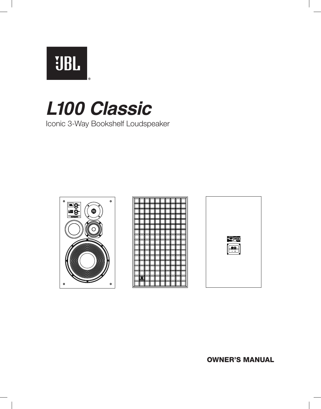**UBL** 

# *L100 Classic*

Iconic 3-Way Bookshelf Loudspeaker



|   |  |   | ľ           |  | Λ |    |
|---|--|---|-------------|--|---|----|
|   |  |   | ľ           |  |   |    |
|   |  |   |             |  | Λ |    |
|   |  |   | l<br>ľ<br>ſ |  | Λ |    |
|   |  |   | r           |  |   |    |
|   |  |   |             |  | ſ |    |
|   |  |   |             |  |   |    |
|   |  |   | ľ<br>ſ      |  | λ |    |
|   |  |   | ľ           |  |   |    |
|   |  | ļ | I           |  | ſ | IJ |
|   |  |   | г           |  | Λ |    |
|   |  |   |             |  |   |    |
|   |  |   |             |  | Λ |    |
|   |  |   | r           |  | ñ |    |
|   |  |   | ľ           |  |   |    |
|   |  |   |             |  |   |    |
| 週 |  |   |             |  | Π |    |
|   |  |   |             |  |   |    |



OWNER'S MANUAL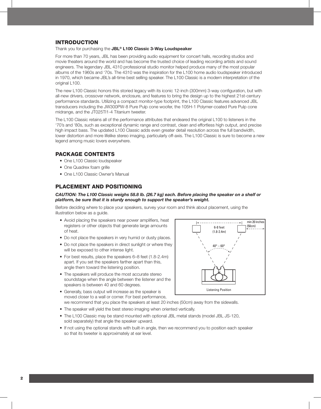## INTRODUCTION

Thank you for purchasing the **JBL® L100 Classic 3-Way Loudspeaker**

For more than 70 years, JBL has been providing audio equipment for concert halls, recording studios and movie theaters around the world and has become the trusted choice of leading recording artists and sound engineers. The legendary JBL 4310 professional studio monitor helped produce many of the most popular albums of the 1960s and '70s. The 4310 was the inspiration for the L100 home audio loudspeaker introduced in 1970, which became JBL's all-time best selling speaker. The L100 Classic is a modern interpretation of the original L100.

The new L100 Classic honors this storied legacy with its iconic 12-inch (300mm) 3-way configuration, but with all-new drivers, crossover network, enclosure, and features to bring the design up to the highest 21st-century performance standards. Utilizing a compact monitor-type footprint, the L100 Classic features advanced JBL transducers including the JW300PW-8 Pure Pulp cone woofer, the 105H-1 Polymer-coated Pure Pulp cone midrange, and the JT025TI1-4 Titanium tweeter.

The L100 Classic retains all of the performance attributes that endeared the original L100 to listeners in the '70's and '80s, such as exceptional dynamic range and contrast, clean and effortless high output, and precise high impact bass. The updated L100 Classic adds even greater detail resolution across the full bandwidth, lower distortion and more lifelike stereo imaging, particularly off-axis. The L100 Classic is sure to become a new legend among music lovers everywhere.

## PACKAGE CONTENTS

- One L100 Classic loudspeaker
- One Quadrex foam grille
- One L100 Classic Owner's Manual

# PLACEMENT AND POSITIONING

#### *CAUTION: The L100 Classic weighs 58.8 lb. (26.7 kg) each. Before placing the speaker on a shelf or platform, be sure that it is sturdy enough to support the speaker's weight.*

Before deciding where to place your speakers, survey your room and think about placement, using the illustration below as a guide.

- Avoid placing the speakers near power amplifiers, heat registers or other objects that generate large amounts of heat.
- Do not place the speakers in very humid or dusty places.
- Do not place the speakers in direct sunlight or where they will be exposed to other intense light.
- For best results, place the speakers 6–8 feet (1.8-2.4m) apart. If you set the speakers farther apart than this, angle them toward the listening position.
- The speakers will produce the most accurate stereo soundstage when the angle between the listener and the speakers is between 40 and 60 degrees.

• Generally, bass output will increase as the speaker is



- moved closer to a wall or corner. For best performance, we recommend that you place the speakers at least 20 inches (50cm) away from the sidewalls.
- The speaker will yield the best stereo imaging when oriented vertically.
- The L100 Classic may be stand mounted with optional JBL metal stands (model JBL JS-120, sold separately) that angle the speaker upward.
- If not using the optional stands with built-in angle, then we recommend you to position each speaker so that its tweeter is approximately at ear level.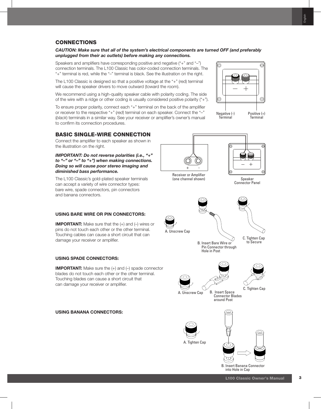# CONNECTIONS

*CAUTION: Make sure that all of the system's electrical components are turned OFF (and preferably unplugged from their ac outlets) before making any connections.*

Speakers and amplifiers have corresponding positive and negative ("+" and "–") connection terminals. The L100 Classic has color-coded connection terminals. The "+" terminal is red, while the "–" terminal is black. See the illustration on the right.

The L100 Classic is designed so that a positive voltage at the "+" (red) terminal will cause the speaker drivers to move outward (toward the room).

We recommend using a high-quality speaker cable with polarity coding. The side of the wire with a ridge or other coding is usually considered positive polarity ("+").

To ensure proper polarity, connect each "+" terminal on the back of the amplifier or receiver to the respective "+" (*red*) terminal on each speaker. Connect the "–" (*black*) terminals in a similar way. See your receiver or amplifier's owner's manual to confirm its connection procedures.

# BASIC SINGLE-WIRE CONNECTION

Connect the amplifier to each speaker as shown in the illustration on the right.

*IMPORTANT: Do not reverse polarities (i.e., "+" to "–" or "–" to "+") when making connections. Doing so will cause poor stereo imaging and diminished bass performance.*

The L100 Classic's gold-plated speaker terminals can accept a variety of wire connector types: bare wire, spade connectors, pin connectors and banana connectors.

### **USING BARE WIRE OR PIN CONNECTORS:**

**IMPORTANT:** Make sure that the (+) and (-) wires or pins do not touch each other or the other terminal. Touching cables can cause a short circuit that can damage your receiver or amplifier.

## **USING SPADE CONNECTORS:**

**IMPORTANT:** Make sure the (+) and (-) spade connector blades do not touch each other or the other terminal. Touching blades can cause a short circuit that can damage your receiver or amplifier.

#### **USING BANANA CONNECTORS:**





A. Tighten Cap

B. Insert Banana Connector into Hole in Cap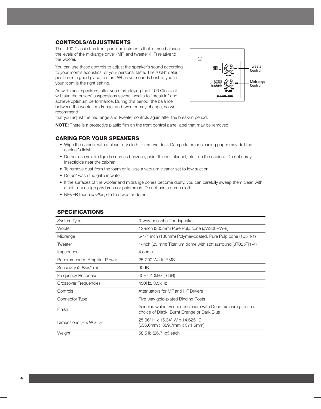# CONTROLS/ADJUSTMENTS

The L100 Classic has front-panel adjustments that let you balance the levels of the midrange driver (MF) and tweeter (HF) relative to the woofer.

You can use these controls to adjust the speaker's sound according to your room's acoustics, or your personal taste. The "0dB" default position is a good place to start. Whatever sounds best to you in your room is the right setting.

As with most speakers, after you start playing the L100 Classic it will take the drivers' suspensions several weeks to "break in" and achieve optimum performance. During this period, the balance between the woofer, midrange, and tweeter may change, so we recommend



that you adjust the midrange and tweeter controls again after the break-in period.

**NOTE:** There is a protective plastic film on the front control panel label that may be removed.

# CARING FOR YOUR SPEAKERS

- Wipe the cabinet with a clean, dry cloth to remove dust. Damp cloths or cleaning paper may dull the cabinet's finish.
- Do not use volatile liquids such as benzene, paint thinner, alcohol, etc., on the cabinet. Do not spray insecticide near the cabinet.
- To remove dust from the foam grille, use a vacuum cleaner set to low suction.
- Do *not* wash the grille in water.
- If the surfaces of the woofer and midrange cones become dusty, you can carefully sweep them clean with a soft, dry calligraphy brush or paintbrush. Do not use a damp cloth.
- NEVER touch *anything* to the tweeter dome.

| System Type                          | 3-way bookshelf loudspeaker                                                                                 |
|--------------------------------------|-------------------------------------------------------------------------------------------------------------|
| <b>Woofer</b>                        | 12-inch (300mm) Pure Pulp cone (JW300PW-8)                                                                  |
| Midrange                             | 5-1/4 inch (130mm) Polymer-coated, Pure Pulp cone (105H-1)                                                  |
| Tweeter                              | 1-inch (25 mm) Titanium dome with soft surround (JT025T11-4)                                                |
| Impedance                            | 4 ohms                                                                                                      |
| Recommended Amplifier Power          | 25-200 Watts RMS                                                                                            |
| Sensitivity (2.83V/1m)               | 90dB                                                                                                        |
| Frequency Response                   | 40Hz-40kHz (-6dB)                                                                                           |
| Crossover Frequencies                | 450Hz, 3.5kHz                                                                                               |
| Controls                             | Attenuators for MF and HF Drivers                                                                           |
| Connector Type                       | Five-way gold-plated Binding Posts                                                                          |
| Finish                               | Genuine walnut veneer enclosure with Quadrex foam grille in a<br>choice of Black, Burnt Orange or Dark Blue |
| Dimensions ( $H \times W \times D$ ) | 25.06" H x 15.34" W x 14.625" D<br>(636.6mm x 389.7mm x 371.5mm)                                            |
| Weight                               | 58.5 lb (26.7 kg) each                                                                                      |
|                                      |                                                                                                             |

### SPECIFICATIONS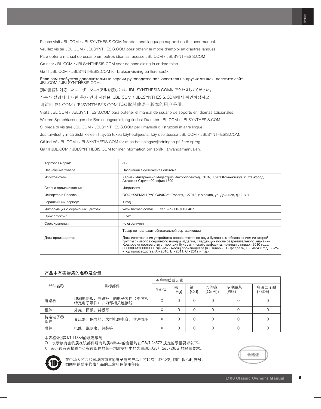Если вам требуется дополнительные версии руководства пользователя на других языках, посетите сайт<br>JBL.COM / JBLSYNTHESIS.COM. 別の言語に対応したユーザーマニュアルを読むには、JBL SYNTHESIS.COMにアクセスしてください。 사용자 설명서에 대한 추가 언어 지원은 JBL.COM / JBLSYNTHESIS.COM에서 확인하십시오 请访问 JBL.COM / JBLSYNTHESIS.COM 以获取其他语言版本的用户手册。 Visita JBL.COM / JBLSYNTHESIS.COM para obtener el manual de usuario de soporte en idiomas adicionales. Weitere Sprachfassungen der Bedienungsanleitung findest Du unter JBL.COM / JBLSYNTHESIS.COM. Si prega di visitare JBL.COM / JBLSYNTHESIS.COM per i manuali di istruzioni in altre lingue. Jos tarvitset ylimääräistä kieleen liittyvää tukea käyttöohjeesta, käy osoitteessa JBL.COM / JBLSYNTHESIS.COM. Gå ind på JBL.COM / JBLSYNTHESIS.COM for at se betjeningsvejledningen på flere sprog. Gå till JBL.COM / JBLSYNTHESIS.COM för mer information om språk i användarmanualen.

| Торговая марка:                 | <b>JBL</b>                                                                                                                                                                                                                                                                                                                                                                                                                          |  |  |  |  |
|---------------------------------|-------------------------------------------------------------------------------------------------------------------------------------------------------------------------------------------------------------------------------------------------------------------------------------------------------------------------------------------------------------------------------------------------------------------------------------|--|--|--|--|
| Назначение товара:              | Пассивная акустическая система                                                                                                                                                                                                                                                                                                                                                                                                      |  |  |  |  |
| Изготовитель:                   | Харман Интернешнл Индастриз Инкорпорейтед, США, 06901 Коннектикут, г.Стэмфорд,<br>Атлантик Стрит 400, офис 1500                                                                                                                                                                                                                                                                                                                     |  |  |  |  |
| Страна происхождения:           | Индонезия                                                                                                                                                                                                                                                                                                                                                                                                                           |  |  |  |  |
| Импортер в Россию:              | ООО "ХАРМАН РУС СиАйЭс", Россия, 127018, г. Москва, ул. Двинцев, д.12, к 1                                                                                                                                                                                                                                                                                                                                                          |  |  |  |  |
| Гарантийный период:             | 1 год                                                                                                                                                                                                                                                                                                                                                                                                                               |  |  |  |  |
| Информация о сервисных центрах: | www.harman.com/ru<br>тел. +7-800-700-0467                                                                                                                                                                                                                                                                                                                                                                                           |  |  |  |  |
| Срок службы:                    | 5 лет                                                                                                                                                                                                                                                                                                                                                                                                                               |  |  |  |  |
| Срок хранения:                  | не ограничен                                                                                                                                                                                                                                                                                                                                                                                                                        |  |  |  |  |
|                                 | Товар не подлежит обязательной сертификации                                                                                                                                                                                                                                                                                                                                                                                         |  |  |  |  |
| Дата производства:              | Дата изготовления устройства определяется по двум буквенным обозначениям из второй<br>группы символов серийного номера изделия, следующих после разделительного знака «-».<br>Кодировка соответствует порядку букв латинского алфавита, начиная с января 2010 года:<br>000000-МҮ0000000, где «М» - месяц производства (А - январь, В - февраль, С - март и т.д.) и «Ү»<br>- год производства (А - 2010, В - 2011, С - 2012 и т.д.). |  |  |  |  |

#### 产品中有害物质的名称及含量

|             |                                          | 有害物质或元素 |           |           |                 |               |                 |
|-------------|------------------------------------------|---------|-----------|-----------|-----------------|---------------|-----------------|
| 部件名称        | 目标部件                                     | 铅(Pb)   | 汞<br>(Hg) | 镉<br>(Cd) | 六价铬<br>(Cr(VI)) | 多溴联茉<br>(PBB) | 多溴二苯醚<br>(PBDE) |
| 电路板         | 印刷电路板, 电路板上的电子零件(不包括<br>特定电子零件), 内部相关连接线 | X       |           |           |                 |               |                 |
| 框体          | 外壳,面板,背板等                                |         |           |           |                 | 0             |                 |
| 特定电子零<br>部件 | 变压器, 保险丝, 大型电解电容, 电源插座                   | Χ       |           |           |                 |               |                 |
| 附件          | 电线, 说明书, 包装等                             | X       |           |           |                 |               |                 |

#### 本表格依据SJ/T 11364的规定编制

O: 表示该有害物质在该部件所有均质材料中的含量均在GB/T 26572 规定的限量要求以下。

X: 表示该有害物质至少在该部件的某一均质材料中的含量超出GB/T 26572规定的限量要求。

合格证



在中华人民共和国境内销售的电子电气产品上将印有"环保使用期"(EPuP)符号。 圆圈中的数字代表产品的正常环保使用年限。